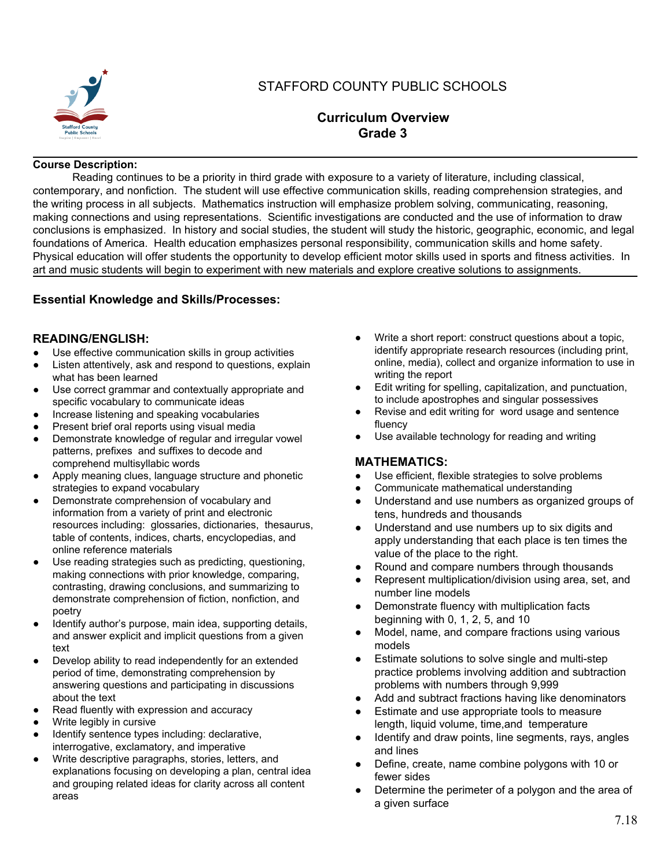

# STAFFORD COUNTY PUBLIC SCHOOLS

## **Curriculum Overview Grade 3**

#### **Course Description:**

Reading continues to be a priority in third grade with exposure to a variety of literature, including classical, contemporary, and nonfiction. The student will use effective communication skills, reading comprehension strategies, and the writing process in all subjects. Mathematics instruction will emphasize problem solving, communicating, reasoning, making connections and using representations. Scientific investigations are conducted and the use of information to draw conclusions is emphasized. In history and social studies, the student will study the historic, geographic, economic, and legal foundations of America. Health education emphasizes personal responsibility, communication skills and home safety. Physical education will offer students the opportunity to develop efficient motor skills used in sports and fitness activities. In art and music students will begin to experiment with new materials and explore creative solutions to assignments.

### **Essential Knowledge and Skills/Processes:**

### **READING/ENGLISH:**

- Use effective communication skills in group activities
- Listen attentively, ask and respond to questions, explain what has been learned
- Use correct grammar and contextually appropriate and specific vocabulary to communicate ideas
- Increase listening and speaking vocabularies
- Present brief oral reports using visual media
- Demonstrate knowledge of regular and irregular vowel patterns, prefixes and suffixes to decode and comprehend multisyllabic words
- Apply meaning clues, language structure and phonetic strategies to expand vocabulary
- Demonstrate comprehension of vocabulary and information from a variety of print and electronic resources including: glossaries, dictionaries, thesaurus, table of contents, indices, charts, encyclopedias, and online reference materials
- Use reading strategies such as predicting, questioning, making connections with prior knowledge, comparing, contrasting, drawing conclusions, and summarizing to demonstrate comprehension of fiction, nonfiction, and poetry
- Identify author's purpose, main idea, supporting details, and answer explicit and implicit questions from a given text
- Develop ability to read independently for an extended period of time, demonstrating comprehension by answering questions and participating in discussions about the text
- Read fluently with expression and accuracy
- Write legibly in cursive
- Identify sentence types including: declarative, interrogative, exclamatory, and imperative
- Write descriptive paragraphs, stories, letters, and explanations focusing on developing a plan, central idea and grouping related ideas for clarity across all content areas
- Write a short report: construct questions about a topic, identify appropriate research resources (including print, online, media), collect and organize information to use in writing the report
- Edit writing for spelling, capitalization, and punctuation, to include apostrophes and singular possessives
- Revise and edit writing for word usage and sentence fluency
- Use available technology for reading and writing

### **MATHEMATICS:**

- Use efficient, flexible strategies to solve problems
- Communicate mathematical understanding
- Understand and use numbers as organized groups of tens, hundreds and thousands
- Understand and use numbers up to six digits and apply understanding that each place is ten times the value of the place to the right.
- Round and compare numbers through thousands
- Represent multiplication/division using area, set, and number line models
- Demonstrate fluency with multiplication facts beginning with 0, 1, 2, 5, and 10
- Model, name, and compare fractions using various models
- Estimate solutions to solve single and multi-step practice problems involving addition and subtraction problems with numbers through 9,999
- Add and subtract fractions having like denominators
- Estimate and use appropriate tools to measure length, liquid volume, time,and temperature
- Identify and draw points, line segments, rays, angles and lines
- Define, create, name combine polygons with 10 or fewer sides
- Determine the perimeter of a polygon and the area of a given surface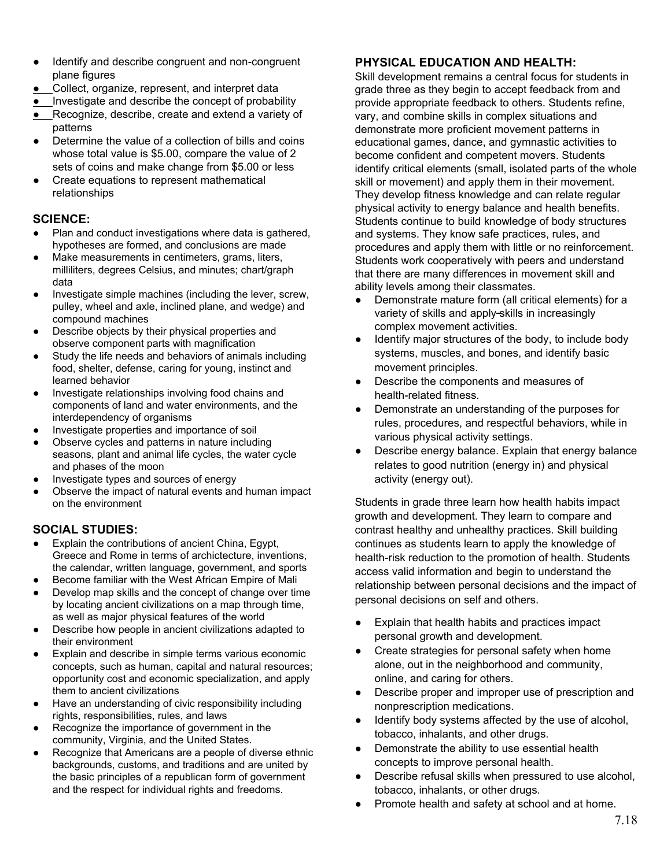- Identify and describe congruent and non-congruent plane figures
- Collect, organize, represent, and interpret data
- Investigate and describe the concept of probability
- Recognize, describe, create and extend a variety of patterns
- Determine the value of a collection of bills and coins whose total value is \$5.00, compare the value of 2 sets of coins and make change from \$5.00 or less
- Create equations to represent mathematical relationships

#### **SCIENCE:**

- Plan and conduct investigations where data is gathered, hypotheses are formed, and conclusions are made
- Make measurements in centimeters, grams, liters, milliliters, degrees Celsius, and minutes; chart/graph data
- Investigate simple machines (including the lever, screw, pulley, wheel and axle, inclined plane, and wedge) and compound machines
- Describe objects by their physical properties and observe component parts with magnification
- Study the life needs and behaviors of animals including food, shelter, defense, caring for young, instinct and learned behavior
- Investigate relationships involving food chains and components of land and water environments, and the interdependency of organisms
- Investigate properties and importance of soil
- Observe cycles and patterns in nature including seasons, plant and animal life cycles, the water cycle and phases of the moon
- Investigate types and sources of energy
- Observe the impact of natural events and human impact on the environment

### **SOCIAL STUDIES:**

- Explain the contributions of ancient China, Egypt, Greece and Rome in terms of archictecture, inventions, the calendar, written language, government, and sports
- Become familiar with the West African Empire of Mali
- Develop map skills and the concept of change over time by locating ancient civilizations on a map through time, as well as major physical features of the world
- Describe how people in ancient civilizations adapted to their environment
- Explain and describe in simple terms various economic concepts, such as human, capital and natural resources; opportunity cost and economic specialization, and apply them to ancient civilizations
- Have an understanding of civic responsibility including rights, responsibilities, rules, and laws
- Recognize the importance of government in the community, Virginia, and the United States.
- Recognize that Americans are a people of diverse ethnic backgrounds, customs, and traditions and are united by the basic principles of a republican form of government and the respect for individual rights and freedoms.

### **PHYSICAL EDUCATION AND HEALTH:**

Skill development remains a central focus for students in grade three as they begin to accept feedback from and provide appropriate feedback to others. Students refine, vary, and combine skills in complex situations and demonstrate more proficient movement patterns in educational games, dance, and gymnastic activities to become confident and competent movers. Students identify critical elements (small, isolated parts of the whole skill or movement) and apply them in their movement. They develop fitness knowledge and can relate regular physical activity to energy balance and health benefits. Students continue to build knowledge of body structures and systems. They know safe practices, rules, and procedures and apply them with little or no reinforcement. Students work cooperatively with peers and understand that there are many differences in movement skill and ability levels among their classmates.

- Demonstrate mature form (all critical elements) for a variety of skills and apply skills in increasingly complex movement activities.
- **●** Identify major structures of the body, to include body systems, muscles, and bones, and identify basic movement principles.
- Describe the components and measures of health-related fitness.
- Demonstrate an understanding of the purposes for rules, procedures, and respectful behaviors, while in various physical activity settings.
- Describe energy balance. Explain that energy balance relates to good nutrition (energy in) and physical activity (energy out).

Students in grade three learn how health habits impact growth and development. They learn to compare and contrast healthy and unhealthy practices. Skill building continues as students learn to apply the knowledge of health-risk reduction to the promotion of health. Students access valid information and begin to understand the relationship between personal decisions and the impact of personal decisions on self and others.

- Explain that health habits and practices impact personal growth and development.
- Create strategies for personal safety when home alone, out in the neighborhood and community, online, and caring for others.
- Describe proper and improper use of prescription and nonprescription medications.
- Identify body systems affected by the use of alcohol, tobacco, inhalants, and other drugs.
- Demonstrate the ability to use essential health concepts to improve personal health.
- Describe refusal skills when pressured to use alcohol, tobacco, inhalants, or other drugs.
- Promote health and safety at school and at home.